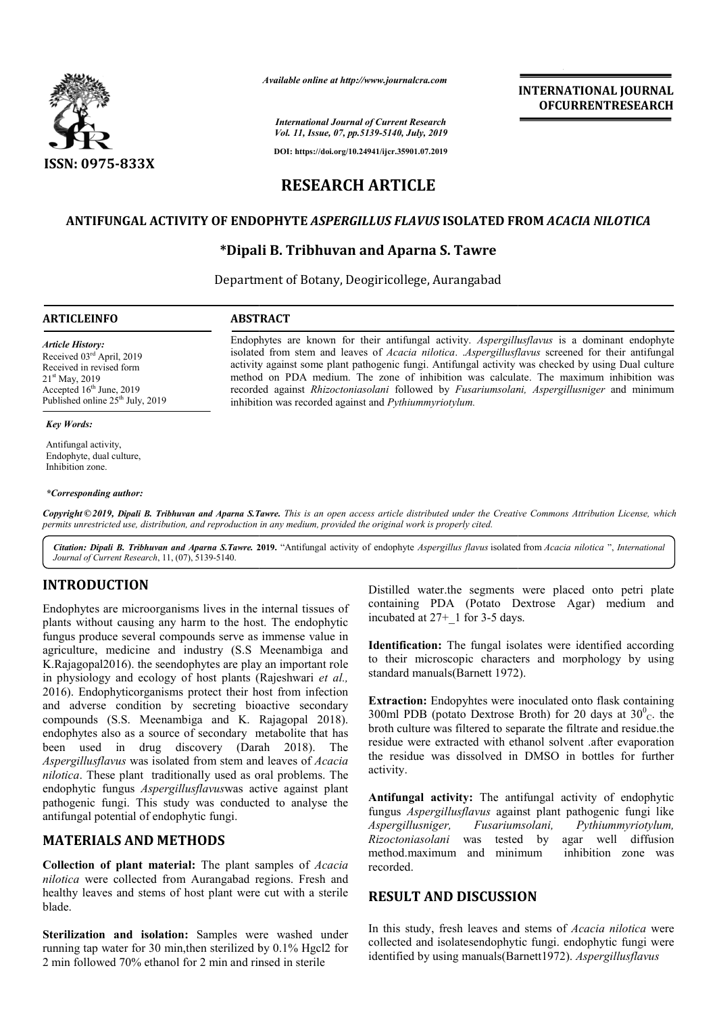

*Available online at http://www.journalcra.com*

# **INTERNATIONAL JOURNAL OFCURRENTRESEARCH**

*International Journal of Current Research Vol. 11, Issue, 07, pp.5139-5140, July, 2019*

**DOI: https://doi.org/10.24941/ijcr.35901.07.2019**

# **RESEARCH ARTICLE**

### **ANTIFUNGAL ACTIVITY OF ENDOPHYTE**  *ASPERGILLUS FLAVUS* **ISOLATED FROM FROM** *ACACIA NILOTICA*

### **\*Dipali B. Tribhuvan and Aparna S. Tawre Dipali**

Department of Botany, Deogiricollege, Aurangabad

inhibition was recorded against and *Pythiummyriotylum.*

Endophytes are known for their antifungal activity. *Aspergillusflavus* is a dominant endophyte isolated from stem and leaves of *Acacia nilotica. .Aspergillusflavus* screened for their antifungal activity against some plant pathogenic fungi. Antifungal activity was checked by using Dual culture activity against some plant pathogenic fungi. Antifungal activity was checked by using Dual culture<br>method on PDA medium. The zone of inhibition was calculate. The maximum inhibition was recorded against *Rhizoctoniasolani* followed by *Fusariumsolani, Aspergillusniger Aspergillusniger* and minimum

#### **ARTICLEINFO ABSTRACT**

*Article History:* Received 03rd April, 2019 Received in revised form 21st May, 2019 Accepted 16<sup>th</sup> June, 2019 Published online  $25<sup>th</sup>$  July, 2019

#### *Key Words:*

Antifungal activity, Endophyte, dual culture, Inhibition zone.

#### *\*Corresponding author:*

Copyright © 2019, Dipali B. Tribhuvan and Aparna S.Tawre. This is an open access article distributed under the Creative Commons Attribution License, which permits unrestricted use, distribution, and reproduction in any medium, provided the original work is properly cited.

Citation: Dipali B. Tribhuvan and Aparna S.Tawre. 2019. "Antifungal activity of endophyte Aspergillus flavus isolated from *Acacia nilotica* ", *International Journal of Current Research*, 11, (07), 5139-5140.

# **INTRODUCTION**

Endophytes are microorganisms lives in the internal tissues of plants without causing any harm to the host. The endophytic fungus produce several compounds serve as immense value in agriculture, medicine and industry (S.S Meenambiga and K.Rajagopal2016). the seendophytes are play an important role in physiology and ecology of host plants (Rajeshwari *et al.,*  2016). Endophyticorganisms protect their host from infection and adverse condition by secreting bioactive secondary compounds (S.S. Meenambiga and K. Ra Rajagopal 2018). endophytes also as a source of secondary metabolite that has been used in drug discovery (Darah 2018). The *Aspergillusflavus* was isolated from stem and leaves of *Acacia nilotica*. These plant traditionally used as oral problems. The endophytic fungus *Aspergillusflavus*was active against plant pathogenic fungi. This study was conducted to analyse the antifungal potential of endophytic fungi. ganisms lives in the internal tissues of<br>
containing PDA (Potato Dextrose Agar) medium and<br>
any harm to the bost. The endophytic incubated at  $27+_{-1}$  for 3-5 days.<br>
compounds serve as immense value in<br>
and industry (S.S

# **MATERIALS AND METHODS**

**Collection of plant material:** The plant samples of *Acacia nilotica* were collected from Aurangabad regions. Fresh and healthy leaves and stems of host plant were cut with a sterile blade.

**Sterilization and isolation:** Samples were washed under running tap water for 30 min,then sterilized by 0.1% Hgcl2 for 2 min followed 70% ethanol for 2 min and rinsed in sterile

containing PDA (Potato Dextrose Agar) medium and incubated at 27+\_1 for 3-5 days.

**Identification:** The fungal isolates were identified according to their microscopic characters and morphology by using standard manuals(Barnett 1972). water.the segments were placed onto petri plate<br>g PDA (Potato Dextrose Agar) medium and<br>d at  $27+_{1}$  for 3-5 days.<br>**ation:** The fungal isolates were identified according<br>microscopic characters and morphology by using<br>man

**Extraction:** Endopyhtes were inoculated onto flask containing 300ml PDB (potato Dextrose Broth) for 20 days at  $30^{\circ}$ <sub>C</sub>. the broth culture was filtered to separate the filtrate and residue.the residue were extracted with ethanol solvent .after evaporation the residue was dissolved in DMSO in bottles for further activity. extracted with ethanol solvent after evaporation<br>was dissolved in DMSO in bottles for further<br>activity: The antifungal activity of endophytic<br>gillusflavus against plant pathogenic fungi like

**Antifungal activity:** The antifungal activity of endophytic fungus *Aspergillusflavus* against plant pathogenic fung *Aspergillusniger, Fusariumsolani, Pythiummyriotylum, Rizoctoniasolani* was tested by agar well diffusion method.maximum and minimum inhibition zone was recorded. Rizoctoniasolani was tested by agar well diffusion<br>
method.maximum and minimum inhibition zone was<br>
recorded.<br> **RESULT AND DISCUSSION**<br>
In this study, fresh leaves and stems of *Acacia nilotica* were

### **RESULT AND DISCUSSION**

collected and isolatesendophytic fungi. endophytic fungi were identified by using *manuals*(*Barnett1972*). *Aspergillusflavus* identified by using manuals(Barnett1972). Aspergillusflavus